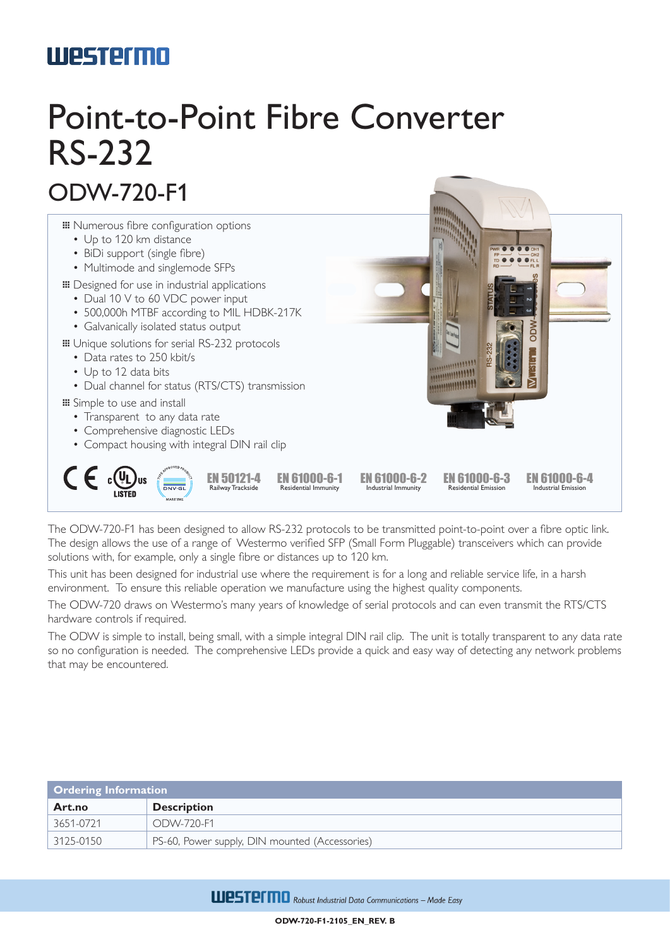## **Westermo**

# Point-to-Point Fibre Converter RS-232

### ODW-720-F1



The ODW-720-F1 has been designed to allow RS-232 protocols to be transmitted point-to-point over a fibre optic link. The design allows the use of a range of Westermo verified SFP (Small Form Pluggable) transceivers which can provide solutions with, for example, only a single fibre or distances up to 120 km.

This unit has been designed for industrial use where the requirement is for a long and reliable service life, in a harsh environment. To ensure this reliable operation we manufacture using the highest quality components.

The ODW-720 draws on Westermo's many years of knowledge of serial protocols and can even transmit the RTS/CTS hardware controls if required.

The ODW is simple to install, being small, with a simple integral DIN rail clip. The unit is totally transparent to any data rate so no configuration is needed. The comprehensive LEDs provide a quick and easy way of detecting any network problems that may be encountered.

| <b>Ordering Information</b> |                                                |  |
|-----------------------------|------------------------------------------------|--|
| Art.no                      | <b>Description</b>                             |  |
| 3651-0721                   | ODW-720-F1                                     |  |
| $\mid$ 3125-0150            | PS-60, Power supply, DIN mounted (Accessories) |  |

**ULESTEFTID** Robust Industrial Data Communications - Made Easy